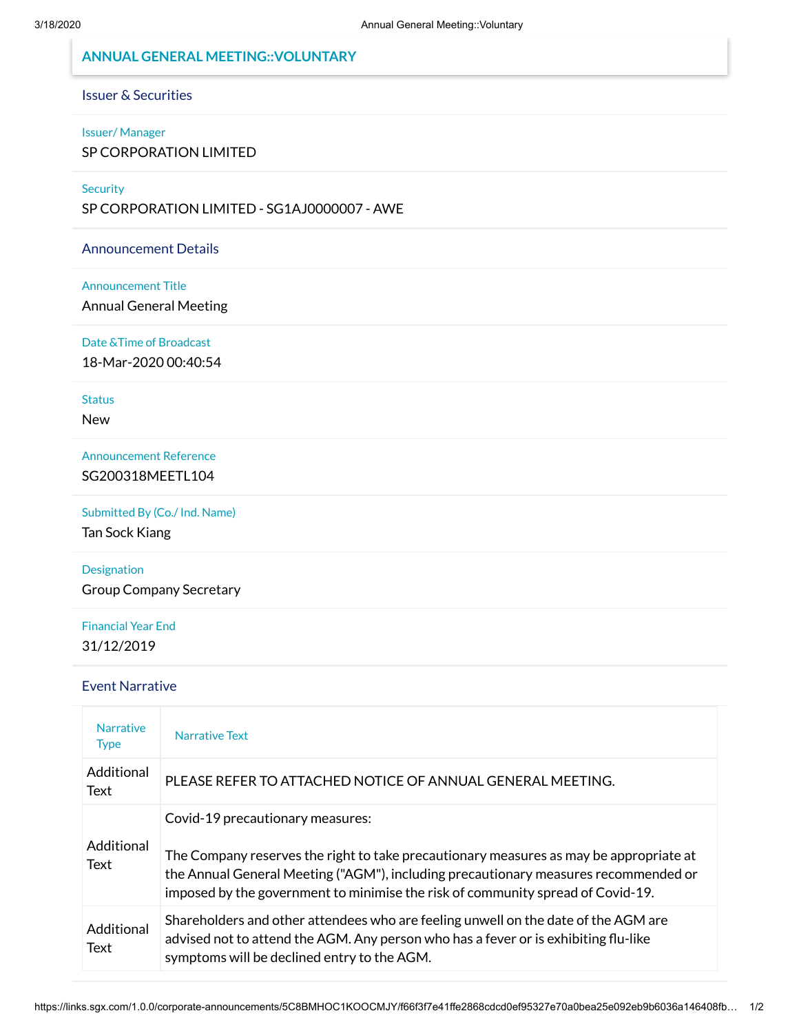# **ANNUAL GENERAL MEETING::VOLUNTARY**

# Issuer & Securities

#### Issuer/ Manager

SP CORPORATION LIMITED

### **Security**

SP CORPORATION LIMITED - SG1AJ0000007 - AWE

## Announcement Details

### Announcement Title

Annual General Meeting

Date &Time of Broadcast

18-Mar-2020 00:40:54

## **Status**

New

Announcement Reference SG200318MEETL104

# Submitted By (Co./ Ind. Name)

Tan Sock Kiang

# Designation

Group Company Secretary

# Financial Year End 31/12/2019

## Event Narrative

| <b>Narrative</b><br><b>Type</b> | Narrative Text                                                                                                                                                                                                                                                                                       |
|---------------------------------|------------------------------------------------------------------------------------------------------------------------------------------------------------------------------------------------------------------------------------------------------------------------------------------------------|
| Additional<br>Text              | PLEASE REFER TO ATTACHED NOTICE OF ANNUAL GENERAL MEETING.                                                                                                                                                                                                                                           |
| Additional<br>Text              | Covid-19 precautionary measures:<br>The Company reserves the right to take precautionary measures as may be appropriate at<br>the Annual General Meeting ("AGM"), including precautionary measures recommended or<br>imposed by the government to minimise the risk of community spread of Covid-19. |
| Additional<br>Text              | Shareholders and other attendees who are feeling unwell on the date of the AGM are<br>advised not to attend the AGM. Any person who has a fever or is exhibiting flu-like<br>symptoms will be declined entry to the AGM.                                                                             |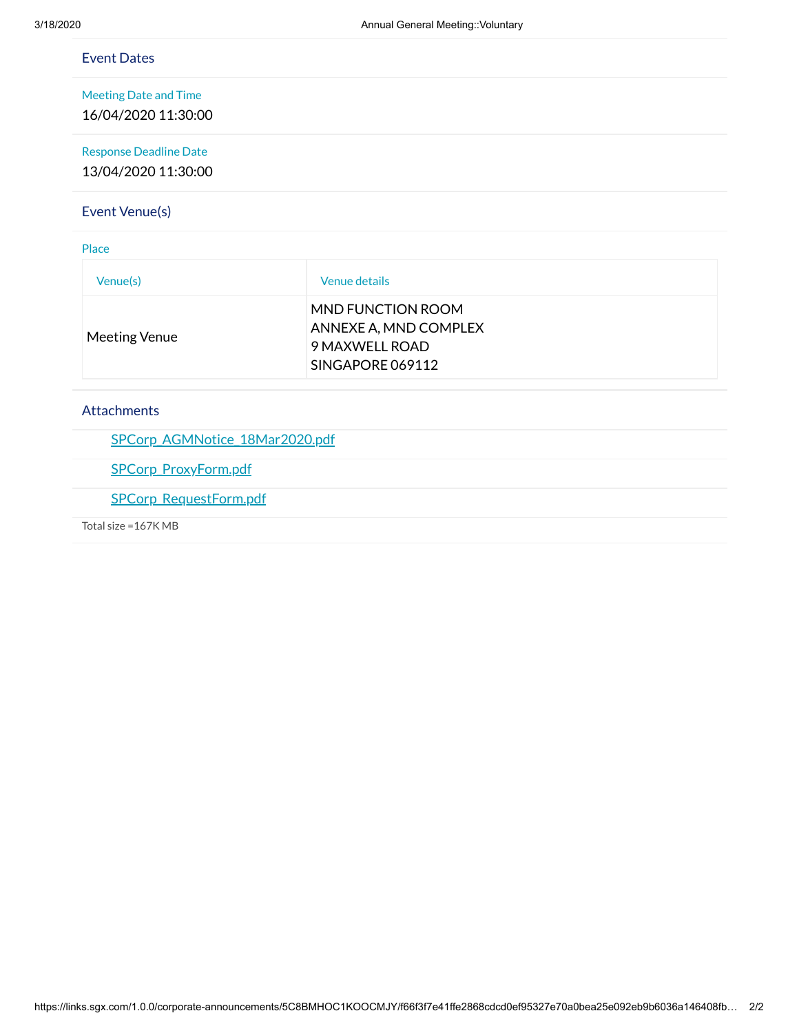| <b>Event Dates</b>            |                                    |  |
|-------------------------------|------------------------------------|--|
| <b>Meeting Date and Time</b>  |                                    |  |
| 16/04/2020 11:30:00           |                                    |  |
| <b>Response Deadline Date</b> |                                    |  |
| 13/04/2020 11:30:00           |                                    |  |
| Event Venue(s)                |                                    |  |
| Place                         |                                    |  |
| Venue(s)                      | Venue details                      |  |
|                               | MND FUNCTION ROOM                  |  |
| <b>Meeting Venue</b>          | ANNEXE A, MND COMPLEX              |  |
|                               | 9 MAXWELL ROAD<br>SINGAPORE 069112 |  |

# Attachments

[SPCorp\\_AGMNotice\\_18Mar2020.pdf](https://links.sgx.com/1.0.0/corporate-announcements/5C8BMHOC1KOOCMJY/SPCorp_AGMNotice_18Mar2020.pdf)

[SPCorp\\_ProxyForm.pdf](https://links.sgx.com/1.0.0/corporate-announcements/5C8BMHOC1KOOCMJY/SPCorp_ProxyForm.pdf)

[SPCorp\\_RequestForm.pdf](https://links.sgx.com/1.0.0/corporate-announcements/5C8BMHOC1KOOCMJY/SPCorp_RequestForm.pdf)

Total size =167K MB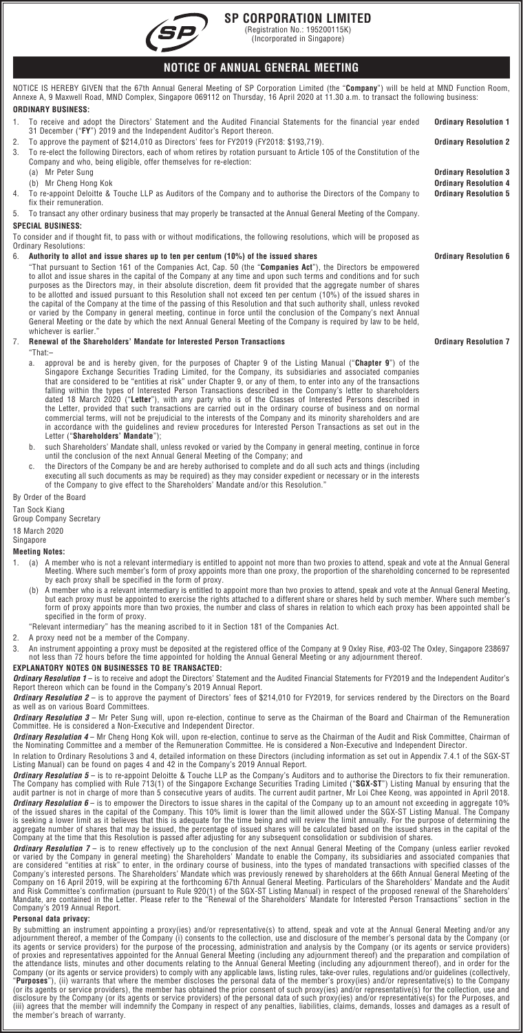

# **SP CORPORATION LIMITED**

(Registration No.: 195200115K) (Incorporated in Singapore)

# **NOTICE OF ANNUAL GENERAL MEETING**

NOTICE IS HEREBY GIVEN that the 67th Annual General Meeting of SP Corporation Limited (the "**Company**") will be held at MND Function Room, Annexe A, 9 Maxwell Road, MND Complex, Singapore 069112 on Thursday, 16 April 2020 at 11.30 a.m. to transact the following business:

#### **ORDINARY BUSINESS:**

- 1. To receive and adopt the Directors' Statement and the Audited Financial Statements for the financial year ended
- 31 December ("**FY**") 2019 and the Independent Auditor's Report thereon.
- 2. To approve the payment of \$214,010 as Directors' fees for FY2019 (FY2018: \$193,719). **Ordinary Resolution 2** 3. To re-elect the following Directors, each of whom retires by rotation pursuant to Article 105 of the Constitution of the Company and who, being eligible, offer themselves for re-election:
	-
	- (b) Mr Cheng Hong Kok
- 4. To re-appoint Deloitte & Touche LLP as Auditors of the Company and to authorise the Directors of the Company to fix their remuneration.
- 5. To transact any other ordinary business that may properly be transacted at the Annual General Meeting of the Company. **SPECIAL BUSINESS:**

To consider and if thought fit, to pass with or without modifications, the following resolutions, which will be proposed as Ordinary Resolutions:

6. **Authority to allot and issue shares up to ten per centum (10%) of the issued shares Ordinary Resolution 6**

"That pursuant to Section 161 of the Companies Act, Cap. 50 (the "**Companies Act**"), the Directors be empowered to allot and issue shares in the capital of the Company at any time and upon such terms and conditions and for such purposes as the Directors may, in their absolute discretion, deem fit provided that the aggregate number of shares to be allotted and issued pursuant to this Resolution shall not exceed ten per centum (10%) of the issued shares in the capital of the Company at the time of the passing of this Resolution and that such authority shall, unless revoked or varied by the Company in general meeting, continue in force until the conclusion of the Company's next Annual General Meeting or the date by which the next Annual General Meeting of the Company is required by law to be held, whichever is earlier.

# 7. **Renewal of the Shareholders' Mandate for Interested Person Transactions Ordinary Resolution 7**

"That:–

- a. approval be and is hereby given, for the purposes of Chapter 9 of the Listing Manual ("**Chapter 9**") of the Singapore Exchange Securities Trading Limited, for the Company, its subsidiaries and associated companies that are considered to be "entities at risk" under Chapter 9, or any of them, to enter into any of the transactions falling within the types of Interested Person Transactions described in the Company's letter to shareholders dated 18 March 2020 ("**Letter**"), with any party who is of the Classes of Interested Persons described in the Letter, provided that such transactions are carried out in the ordinary course of business and on normal commercial terms, will not be prejudicial to the interests of the Company and its minority shareholders and are in accordance with the guidelines and review procedures for Interested Person Transactions as set out in the Letter ("**Shareholders' Mandate**");
- b. such Shareholders' Mandate shall, unless revoked or varied by the Company in general meeting, continue in force until the conclusion of the next Annual General Meeting of the Company; and
- c. the Directors of the Company be and are hereby authorised to complete and do all such acts and things (including executing all such documents as may be required) as they may consider expedient or necessary or in the interests of the Company to give effect to the Shareholders' Mandate and/or this Resolution."

## By Order of the Board

Tan Sock Kiang

Group Company Secretary

#### 18 March 2020

Singapore

# **Meeting Notes:**

- 1. (a) A member who is not a relevant intermediary is entitled to appoint not more than two proxies to attend, speak and vote at the Annual General<br>Meeting. Where such member's form of proxy appoints more than one proxy, t by each proxy shall be specified in the form of proxy.
	- , (b) A member who is a relevant intermediary is entitled to appoint more than two proxies to attend, speak and vote at the Annual General Meeting,<br>but each proxy must be appointed to exercise the rights attached to a diff form of proxy appoints more than two proxies, the number and class of shares in relation to which each proxy has been appointed shall be specified in the form of proxy.
	- "Relevant intermediary" has the meaning ascribed to it in Section 181 of the Companies Act.
- 2. A proxy need not be a member of the Company.
- 238697. An instrument appointing a proxy must be deposited at the registered office of the Company at 9 Oxley Rise, #03-02 The Oxley, Singapore 238697<br>.not less than 72 hours before the time appointed for holding the Annua

#### **EXPLANATORY NOTES ON BUSINESSES TO BE TRANSACTED:**

*Ordinary Resolution 1* – is to receive and adopt the Directors' Statement and the Audited Financial Statements for FY2019 and the Independent Auditor's Report thereon which can be found in the Company's 2019 Annual Report.

*Ordinary Resolution 2* – is to approve the payment of Directors' fees of \$214,010 for FY2019, for services rendered by the Directors on the Board<br>as well as on various Board Committees.

*Ordinary Resolution 3* — Mr Peter Sung will, upon re-election, continue to serve as the Chairman of the Board and Chairman of the Remuneration<br>Committee. He is considered a Non-Executive and Independent Director.

*Ordinary Resolution 4* – Mr Cheng Hong Kok will, upon re-election, continue to serve as the Chairman of the Audit and Risk Committee, Chairman of<br>the Nominating Committee and a member of the Remuneration Committee. He is

In relation to Ordinary Resolutions 3 and 4, detailed information on these Directors (including information as set out in Appendix 7.4.1 of the SGX-ST<br>Listing Manual) can be found on pages 4 and 42 in the Company's 2019 An

**Ordinary Resolution 5** – is to re-appoint Deloitte & Touche LLP as the Company's Auditors and to authorise the Directors to fix their remuneration. The Company has complied with Rule 713(1) of the Singapore Exchange Securities Trading Limited ("**SGX-ST**") Listing Manual by ensuring that the<br>audit partner is not in charge of more than 5 consecutive years of audits. The **Ordinary Resolution 6** – is to empower the Directors to issue shares in the capital of the Company up to an amount not exceeding in aggregate 10% of the issued shares in the capital of the issued, and the limit allowed u

**Ordinary Resolution 7** – is to renew effectively up to the conclusion of the next Annual General Meeting of the Company (unless earlier revoked or varied by the Company in general meeting) the Shareholders' Mandate to enable the Company, its subsidiaries and associated companies that<br>are considered "entities at risk" to enter, in the ordinary course of business, i Company's 2019 Annual Report.

## **Personal data privacy:**

By submitting an instrument appointing a proxy(ies) and/or representative(s) to attend, speak and vote at the Annual General Meeting and/or any<br>adjournment thereof, a member of the Company (i) consents to the collection, u disclosure by the Company (or its agents or service providers) of the personal data of such proxy(ies) and/or representative(s) for the Purposes, and<br>(iii) agrees that the member will indemnify the Company in respect of an

**Ordinary Resolution 1**

**Ordinary Resolution 3**<br>**Ordinary Resolution 4** 

**Ordinary Resolution 5**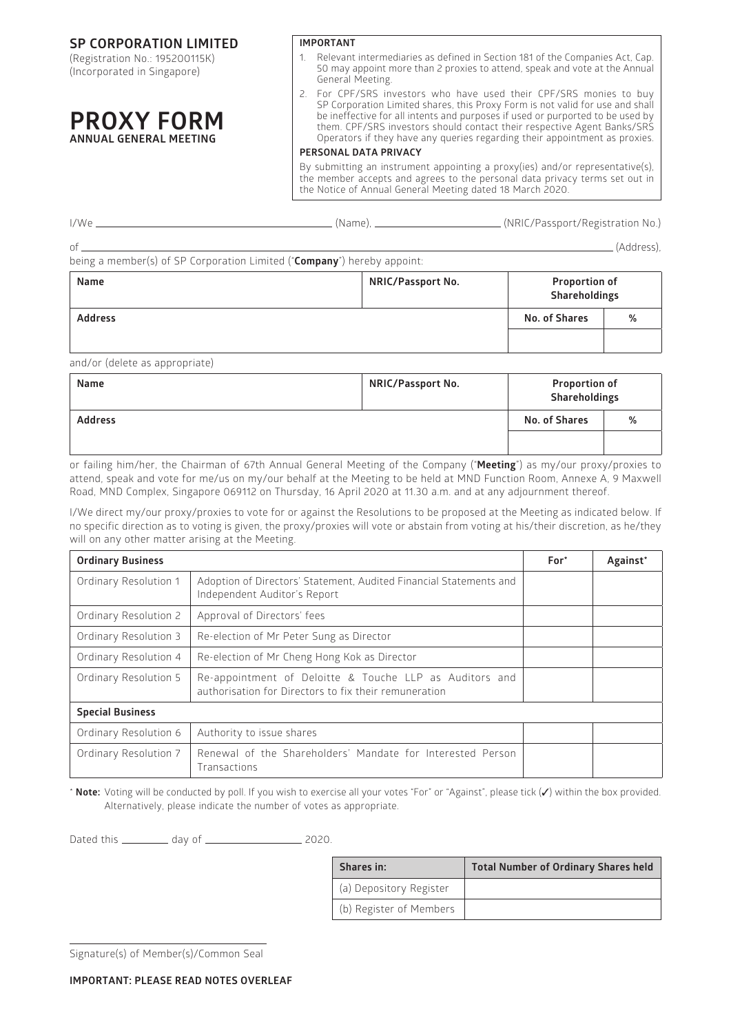**SP CORPORATION LIMITED**

(Registration No.: 195200115K) (Incorporated in Singapore)

# **PROXY FORM ANNUAL GENERAL MEETING**

**IMPORTANT**

- 1. Relevant intermediaries as defined in Section 181 of the Companies Act, Cap. 50 may appoint more than 2 proxies to attend, speak and vote at the Annual General Meeting.
- 2. For CPF/SRS investors who have used their CPF/SRS monies to buy SP Corporation Limited shares, this Proxy Form is not valid for use and shall be ineffective for all intents and purposes if used or purported to be used by them. CPF/SRS investors should contact their respective Agent Banks/SRS Operators if they have any queries regarding their appointment as proxies.

### **PERSONAL DATA PRIVACY**

By submitting an instrument appointing a proxy(ies) and/or representative(s), the member accepts and agrees to the personal data privacy terms set out in the Notice of Annual General Meeting dated 18 March 2020.

| Name |                                                                                  | <b>NRIC/Passport No.</b> | <b>Proportion of</b><br>________   |
|------|----------------------------------------------------------------------------------|--------------------------|------------------------------------|
| nf   | being a member(s) of SP Corporation Limited (" <b>Company</b> ") hereby appoint: |                          | (Address).                         |
| I/We |                                                                                  | (Name). __               | . (NRIC/Passport/Registration No.) |

| .                                   | $1.1.1.1$ $\sigma$ $1.9.9$ $\sigma$ $1.1.1.0$ | Shareholdings        |   |
|-------------------------------------|-----------------------------------------------|----------------------|---|
| <b>Address</b>                      |                                               | <b>No. of Shares</b> | % |
|                                     |                                               |                      |   |
| the contract of the contract of the |                                               |                      |   |

and/or (delete as appropriate)

| Name           | <b>NRIC/Passport No.</b> | <b>Proportion of</b><br>Shareholdings |   |
|----------------|--------------------------|---------------------------------------|---|
| <b>Address</b> |                          | No. of Shares                         | % |
|                |                          |                                       |   |

or failing him/her, the Chairman of 67th Annual General Meeting of the Company ("**Meeting**") as my/our proxy/proxies to attend, speak and vote for me/us on my/our behalf at the Meeting to be held at MND Function Room, Annexe A, 9 Maxwell Road, MND Complex, Singapore 069112 on Thursday, 16 April 2020 at 11.30 a.m. and at any adjournment thereof.

I/We direct my/our proxy/proxies to vote for or against the Resolutions to be proposed at the Meeting as indicated below. If no specific direction as to voting is given, the proxy/proxies will vote or abstain from voting at his/their discretion, as he/they will on any other matter arising at the Meeting.

| <b>Ordinary Business</b> |                                                                                                                  |  | Against* |
|--------------------------|------------------------------------------------------------------------------------------------------------------|--|----------|
| Ordinary Resolution 1    | Adoption of Directors' Statement, Audited Financial Statements and<br>Independent Auditor's Report               |  |          |
| Ordinary Resolution 2    | Approval of Directors' fees                                                                                      |  |          |
| Ordinary Resolution 3    | Re-election of Mr Peter Sung as Director                                                                         |  |          |
| Ordinary Resolution 4    | Re-election of Mr Cheng Hong Kok as Director                                                                     |  |          |
| Ordinary Resolution 5    | Re-appointment of Deloitte & Touche LLP as Auditors and<br>authorisation for Directors to fix their remuneration |  |          |
| <b>Special Business</b>  |                                                                                                                  |  |          |
| Ordinary Resolution 6    | Authority to issue shares                                                                                        |  |          |
| Ordinary Resolution 7    | Renewal of the Shareholders' Mandate for Interested Person<br>Transactions                                       |  |          |

\* **Note:** Voting will be conducted by poll. If you wish to exercise all your votes "For" or "Against", please tick (✓) within the box provided. Alternatively, please indicate the number of votes as appropriate.

Dated this day of 2020.

| Shares in:              | <b>Total Number of Ordinary Shares held</b> |
|-------------------------|---------------------------------------------|
| (a) Depository Register |                                             |
| (b) Register of Members |                                             |

Signature(s) of Member(s)/Common Seal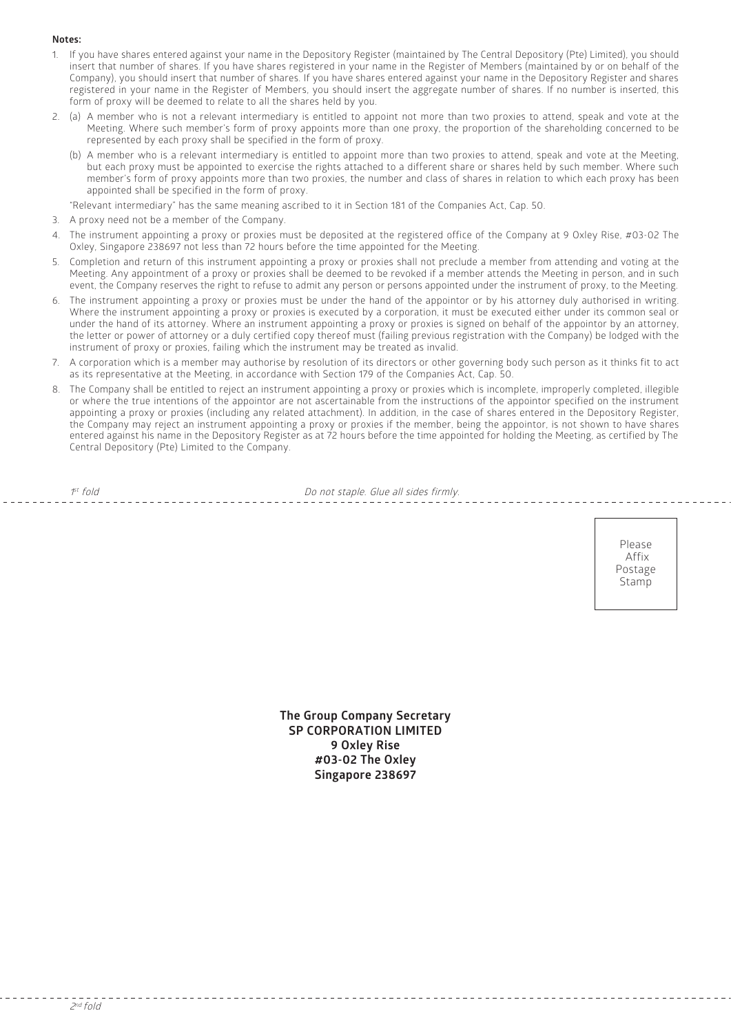#### **Notes:**

- 1. If you have shares entered against your name in the Depository Register (maintained by The Central Depository (Pte) Limited), you should insert that number of shares. If you have shares registered in your name in the Register of Members (maintained by or on behalf of the Company), you should insert that number of shares. If you have shares entered against your name in the Depository Register and shares registered in your name in the Register of Members, you should insert the aggregate number of shares. If no number is inserted, this form of proxy will be deemed to relate to all the shares held by you.
- 2. (a) A member who is not a relevant intermediary is entitled to appoint not more than two proxies to attend, speak and vote at the Meeting. Where such member's form of proxy appoints more than one proxy, the proportion of the shareholding concerned to be represented by each proxy shall be specified in the form of proxy.
	- (b) A member who is a relevant intermediary is entitled to appoint more than two proxies to attend, speak and vote at the Meeting, but each proxy must be appointed to exercise the rights attached to a different share or shares held by such member. Where such member's form of proxy appoints more than two proxies, the number and class of shares in relation to which each proxy has been appointed shall be specified in the form of proxy.

"Relevant intermediary" has the same meaning ascribed to it in Section 181 of the Companies Act, Cap. 50.

- 3. A proxy need not be a member of the Company.
- 4. The instrument appointing a proxy or proxies must be deposited at the registered office of the Company at 9 Oxley Rise, #03-02 The Oxley, Singapore 238697 not less than 72 hours before the time appointed for the Meeting.
- 5. Completion and return of this instrument appointing a proxy or proxies shall not preclude a member from attending and voting at the Meeting. Any appointment of a proxy or proxies shall be deemed to be revoked if a member attends the Meeting in person, and in such event, the Company reserves the right to refuse to admit any person or persons appointed under the instrument of proxy, to the Meeting.
- 6. The instrument appointing a proxy or proxies must be under the hand of the appointor or by his attorney duly authorised in writing. Where the instrument appointing a proxy or proxies is executed by a corporation, it must be executed either under its common seal or under the hand of its attorney. Where an instrument appointing a proxy or proxies is signed on behalf of the appointor by an attorney, the letter or power of attorney or a duly certified copy thereof must (failing previous registration with the Company) be lodged with the instrument of proxy or proxies, failing which the instrument may be treated as invalid.
- 7. A corporation which is a member may authorise by resolution of its directors or other governing body such person as it thinks fit to act as its representative at the Meeting, in accordance with Section 179 of the Companies Act, Cap. 50.
- 8. The Company shall be entitled to reject an instrument appointing a proxy or proxies which is incomplete, improperly completed, illegible or where the true intentions of the appointor are not ascertainable from the instructions of the appointor specified on the instrument appointing a proxy or proxies (including any related attachment). In addition, in the case of shares entered in the Depository Register, the Company may reject an instrument appointing a proxy or proxies if the member, being the appointor, is not shown to have shares entered against his name in the Depository Register as at 72 hours before the time appointed for holding the Meeting, as certified by The Central Depository (Pte) Limited to the Company.

 $1<sup>st</sup>$  fold

Do not staple. Glue all sides firmly.

Please Affix Postage Stamp

**The Group Company Secretary SP CORPORATION LIMITED 9 Oxley Rise #03-02 The Oxley Singapore 238697**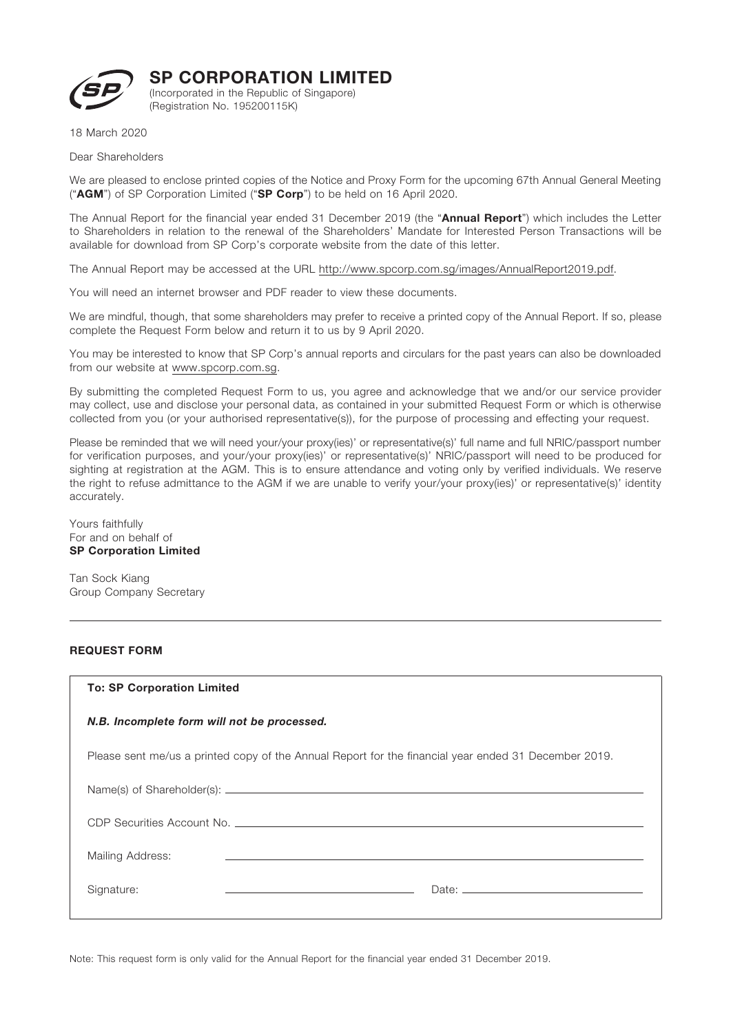

SP CORPORATION LIMITED

(Incorporated in the Republic of Singapore) (Registration No. 195200115K)

18 March 2020

Dear Shareholders

We are pleased to enclose printed copies of the Notice and Proxy Form for the upcoming 67th Annual General Meeting ("AGM") of SP Corporation Limited ("SP Corp") to be held on 16 April 2020.

The Annual Report for the financial year ended 31 December 2019 (the "Annual Report") which includes the Letter to Shareholders in relation to the renewal of the Shareholders' Mandate for Interested Person Transactions will be available for download from SP Corp's corporate website from the date of this letter.

The Annual Report may be accessed at the URL http://www.spcorp.com.sg/images/AnnualReport2019.pdf.

You will need an internet browser and PDF reader to view these documents.

We are mindful, though, that some shareholders may prefer to receive a printed copy of the Annual Report. If so, please complete the Request Form below and return it to us by 9 April 2020.

You may be interested to know that SP Corp's annual reports and circulars for the past years can also be downloaded from our website at www.spcorp.com.sg.

By submitting the completed Request Form to us, you agree and acknowledge that we and/or our service provider may collect, use and disclose your personal data, as contained in your submitted Request Form or which is otherwise collected from you (or your authorised representative(s)), for the purpose of processing and effecting your request.

Please be reminded that we will need your/your proxy(ies)' or representative(s)' full name and full NRIC/passport number for verification purposes, and your/your proxy(ies)' or representative(s)' NRIC/passport will need to be produced for sighting at registration at the AGM. This is to ensure attendance and voting only by verified individuals. We reserve the right to refuse admittance to the AGM if we are unable to verify your/your proxy(ies)' or representative(s)' identity accurately.

Yours faithfully For and on behalf of SP Corporation Limited

Tan Sock Kiang Group Company Secretary

## REQUEST FORM

## To: SP Corporation Limited

## *N.B. Incomplete form will not be processed.*

Please sent me/us a printed copy of the Annual Report for the financial year ended 31 December 2019.

| Mailing Address: | and the contract of the contract of the contract of the contract of the contract of the contract of the contract of |  |
|------------------|---------------------------------------------------------------------------------------------------------------------|--|
| Signature:       | Date: $\qquad \qquad$                                                                                               |  |

Note: This request form is only valid for the Annual Report for the financial year ended 31 December 2019.